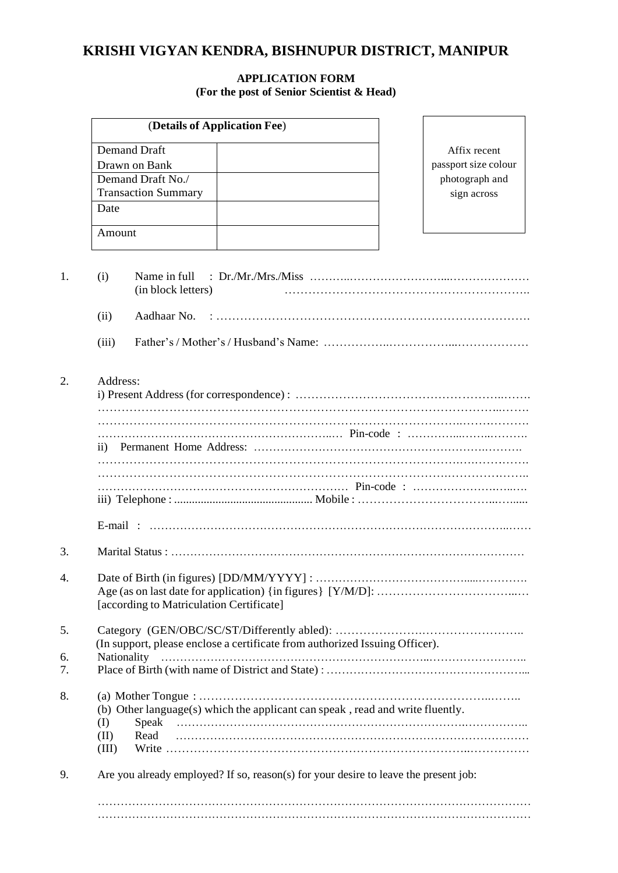# **KRISHI VIGYAN KENDRA, BISHNUPUR DISTRICT, MANIPUR**

## **APPLICATION FORM (For the post of Senior Scientist & Head)**

|               |                                          | (Details of Application Fee)                                                  |                      |
|---------------|------------------------------------------|-------------------------------------------------------------------------------|----------------------|
|               | <b>Demand Draft</b>                      |                                                                               | Affix recent         |
|               | Drawn on Bank                            |                                                                               | passport size colour |
|               | Demand Draft No./                        |                                                                               | photograph and       |
|               | <b>Transaction Summary</b>               |                                                                               | sign across          |
| Date          |                                          |                                                                               |                      |
| Amount        |                                          |                                                                               |                      |
| (i)           | Name in full<br>(in block letters)       |                                                                               |                      |
| (ii)          |                                          |                                                                               |                      |
| (iii)         |                                          |                                                                               |                      |
| Address:      |                                          |                                                                               |                      |
|               |                                          |                                                                               |                      |
|               |                                          |                                                                               |                      |
| 11)           |                                          |                                                                               |                      |
|               |                                          |                                                                               |                      |
|               |                                          |                                                                               |                      |
|               |                                          |                                                                               |                      |
|               |                                          |                                                                               |                      |
|               |                                          |                                                                               |                      |
|               |                                          |                                                                               |                      |
|               |                                          |                                                                               |                      |
|               | [according to Matriculation Certificate] |                                                                               |                      |
|               |                                          |                                                                               |                      |
|               |                                          | (In support, please enclose a certificate from authorized Issuing Officer).   |                      |
|               |                                          |                                                                               |                      |
|               |                                          |                                                                               |                      |
| (I)           | Speak                                    | (b) Other language(s) which the applicant can speak, read and write fluently. |                      |
| (II)<br>(III) | Read                                     |                                                                               |                      |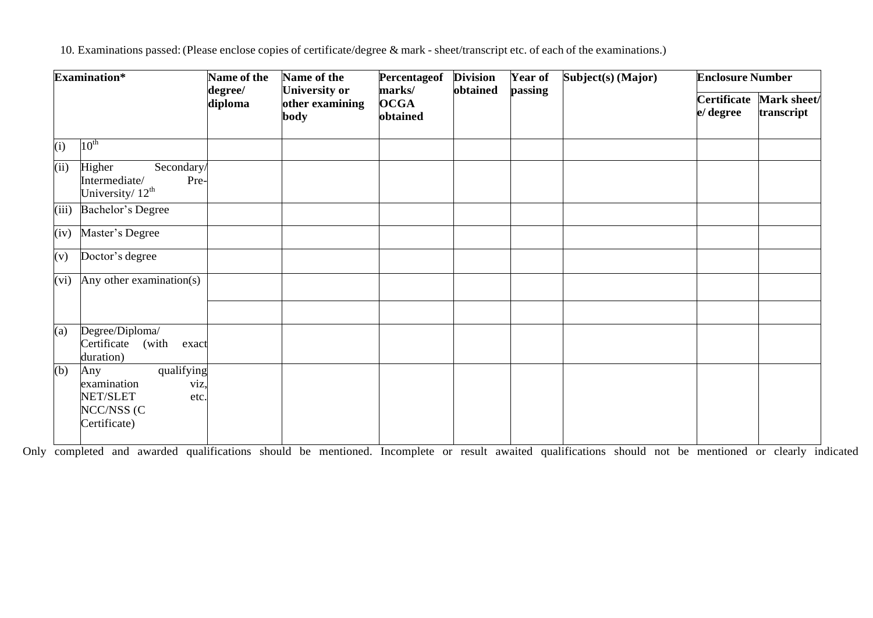10. Examinations passed:(Please enclose copies of certificate/degree & mark - sheet/transcript etc. of each of the examinations.)

| <b>Examination*</b> |                                                                                            | Name of the        | Name of the<br>Percentageof                            |                                   | <b>Division</b> | Year of | Subject(s) (Major) | <b>Enclosure Number</b> |                           |
|---------------------|--------------------------------------------------------------------------------------------|--------------------|--------------------------------------------------------|-----------------------------------|-----------------|---------|--------------------|-------------------------|---------------------------|
|                     |                                                                                            | degree/<br>diploma | <b>University or</b><br>other examining<br><b>body</b> | marks/<br><b>OCGA</b><br>obtained | obtained        | passing |                    | Certificate<br>e/degree | Mark sheet/<br>transcript |
| (i)                 | $10^{\text{th}}$                                                                           |                    |                                                        |                                   |                 |         |                    |                         |                           |
| (ii)                | Higher<br>Secondary/<br>Intermediate/<br>Pre-<br>University/ $12^{th}$                     |                    |                                                        |                                   |                 |         |                    |                         |                           |
| (iii)               | Bachelor's Degree                                                                          |                    |                                                        |                                   |                 |         |                    |                         |                           |
| (iv)                | Master's Degree                                                                            |                    |                                                        |                                   |                 |         |                    |                         |                           |
| (v)                 | Doctor's degree                                                                            |                    |                                                        |                                   |                 |         |                    |                         |                           |
| (vi)                | Any other examination(s)                                                                   |                    |                                                        |                                   |                 |         |                    |                         |                           |
| (a)                 | Degree/Diploma/<br>Certificate<br>(with<br>exact<br>duration)                              |                    |                                                        |                                   |                 |         |                    |                         |                           |
| (b)                 | qualifying<br>Any<br>examination<br>viz,<br>NET/SLET<br>etc.<br>NCC/NSS (C<br>Certificate) |                    |                                                        |                                   |                 |         |                    |                         |                           |

Only completed and awarded qualifications should be mentioned. Incomplete or result awaited qualifications should not be mentioned or clearly indicated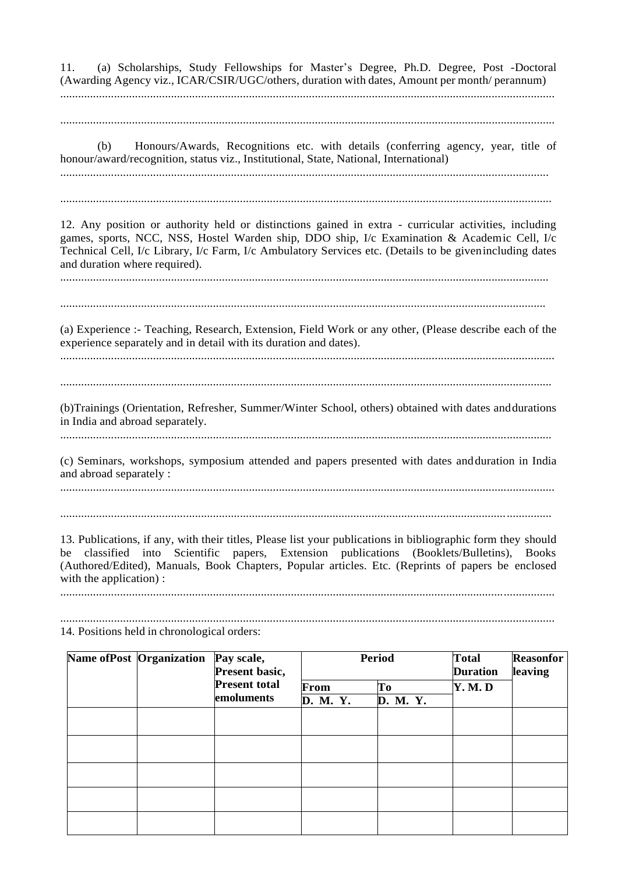11. (a) Scholarships, Study Fellowships for Master's Degree, Ph.D. Degree, Post -Doctoral (Awarding Agency viz., ICAR/CSIR/UGC/others, duration with dates, Amount per month/ perannum) ..................................................................................................................................................................... ..................................................................................................................................................................... (b) Honours/Awards, Recognitions etc. with details (conferring agency, year, title of honour/award/recognition, status viz., Institutional, State, National, International) ................................................................................................................................................................... .................................................................................................................................................................... 12. Any position or authority held or distinctions gained in extra - curricular activities, including games, sports, NCC, NSS, Hostel Warden ship, DDO ship, I/c Examination & Academic Cell, I/c Technical Cell, I/c Library, I/c Farm, I/c Ambulatory Services etc. (Details to be givenincluding dates and duration where required). ................................................................................................................................................................... .................................................................................................................................................................. (a) Experience :- Teaching, Research, Extension, Field Work or any other, (Please describe each of the experience separately and in detail with its duration and dates). ..................................................................................................................................................................... .................................................................................................................................................................... (b)Trainings (Orientation, Refresher, Summer/Winter School, others) obtained with dates anddurations in India and abroad separately. .................................................................................................................................................................... (c) Seminars, workshops, symposium attended and papers presented with dates andduration in India and abroad separately : ..................................................................................................................................................................... .................................................................................................................................................................... 13. Publications, if any, with their titles, Please list your publications in bibliographic form they should be classified into Scientific papers, Extension publications (Booklets/Bulletins), Books (Authored/Edited), Manuals, Book Chapters, Popular articles. Etc. (Reprints of papers be enclosed with the application) : ..................................................................................................................................................................... ..................................................................................................................................................................... 14. Positions held in chronological orders:

| Name of Post Organization | Pay scale,<br>Present basic,       | <b>Period</b>    |                | <b>Total</b><br><b>Duration</b> | <b>Reasonfor</b><br>leaving |
|---------------------------|------------------------------------|------------------|----------------|---------------------------------|-----------------------------|
|                           | <b>Present total</b><br>emoluments | From<br>D. M. Y. | To<br>D. M. Y. | <b>Y. M. D</b>                  |                             |
|                           |                                    |                  |                |                                 |                             |
|                           |                                    |                  |                |                                 |                             |
|                           |                                    |                  |                |                                 |                             |
|                           |                                    |                  |                |                                 |                             |
|                           |                                    |                  |                |                                 |                             |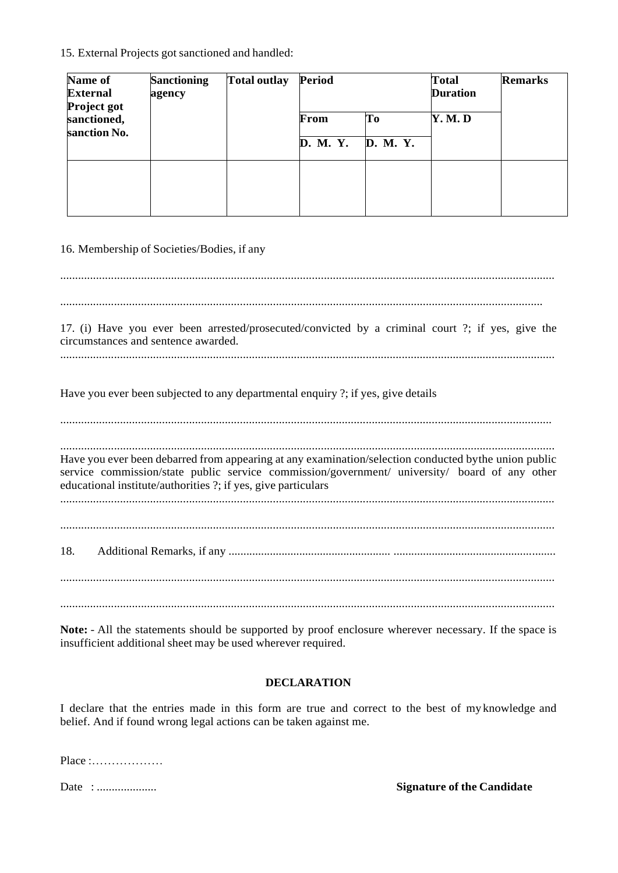15. External Projects got sanctioned and handled:

| Name of<br><b>External</b><br><b>Project got</b> | <b>Sanctioning</b><br>agency | <b>Total outlay</b> | <b>Period</b>    |                | <b>Total</b><br><b>Duration</b> | <b>Remarks</b> |
|--------------------------------------------------|------------------------------|---------------------|------------------|----------------|---------------------------------|----------------|
| sanctioned,<br>sanction No.                      |                              |                     | From<br>D. M. Y. | To<br>D. M. Y. | <b>Y. M. D</b>                  |                |
|                                                  |                              |                     |                  |                |                                 |                |

16. Membership of Societies/Bodies, if any

..................................................................................................................................................................... ................................................................................................................................................................. 17. (i) Have you ever been arrested/prosecuted/convicted by a criminal court ?; if yes, give the circumstances and sentence awarded. ..................................................................................................................................................................... Have you ever been subjected to any departmental enquiry ?; if yes, give details .................................................................................................................................................................... ..................................................................................................................................................................... Have you ever been debarred from appearing at any examination/selection conducted bythe union public service commission/state public service commission/government/ university/ board of any other educational institute/authorities ?; if yes, give particulars ..................................................................................................................................................................... ..................................................................................................................................................................... 18. Additional Remarks, if any ....................................................... ....................................................... ..................................................................................................................................................................... .....................................................................................................................................................................

**Note:** - All the statements should be supported by proof enclosure wherever necessary. If the space is insufficient additional sheet may be used wherever required.

### **DECLARATION**

I declare that the entries made in this form are true and correct to the best of my knowledge and belief. And if found wrong legal actions can be taken against me.

Place :………………

Date : .................... **Signature of the Candidate**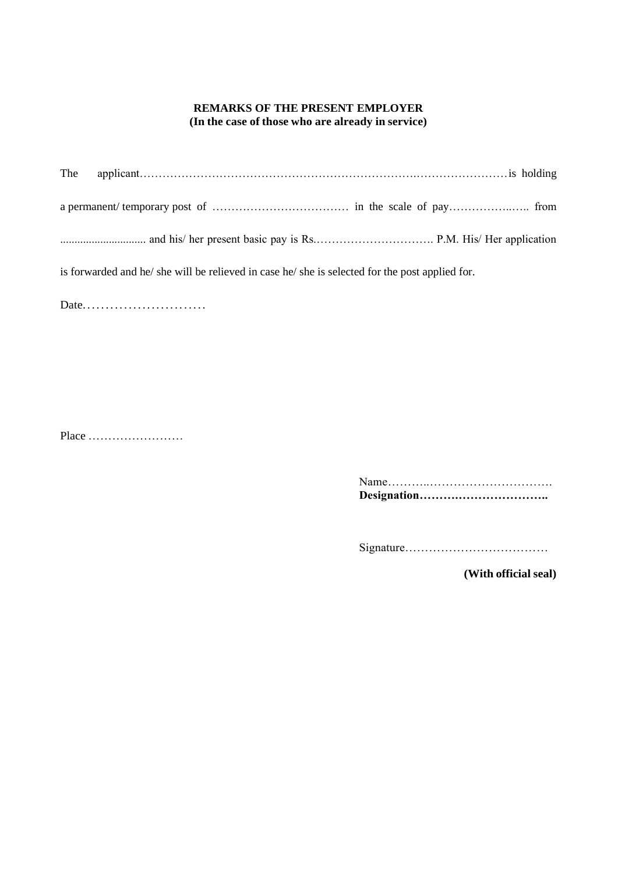### **REMARKS OF THE PRESENT EMPLOYER (In the case of those who are already in service)**

| The |                                                                                                 |
|-----|-------------------------------------------------------------------------------------------------|
|     |                                                                                                 |
|     |                                                                                                 |
|     | is forwarded and he/ she will be relieved in case he/ she is selected for the post applied for. |

Date.............................

Place ……………………

Name………..…………………………. **Designation……….…………………..**

Signature………………………………

**(With official seal)**